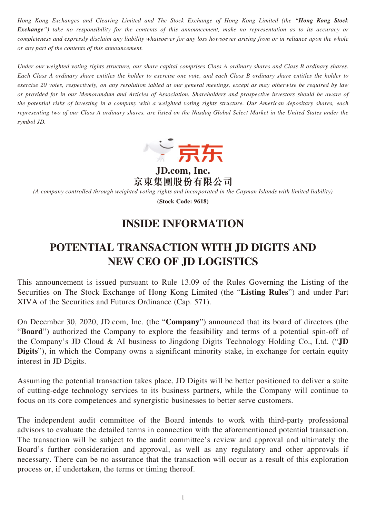*Hong Kong Exchanges and Clearing Limited and The Stock Exchange of Hong Kong Limited (the "Hong Kong Stock Exchange") take no responsibility for the contents of this announcement, make no representation as to its accuracy or completeness and expressly disclaim any liability whatsoever for any loss howsoever arising from or in reliance upon the whole or any part of the contents of this announcement.*

*Under our weighted voting rights structure, our share capital comprises Class A ordinary shares and Class B ordinary shares. Each Class A ordinary share entitles the holder to exercise one vote, and each Class B ordinary share entitles the holder to exercise 20 votes, respectively, on any resolution tabled at our general meetings, except as may otherwise be required by law or provided for in our Memorandum and Articles of Association. Shareholders and prospective investors should be aware of the potential risks of investing in a company with a weighted voting rights structure. Our American depositary shares, each representing two of our Class A ordinary shares, are listed on the Nasdaq Global Select Market in the United States under the symbol JD.*



**JD.com, Inc. 京東集團股份有限公司**

*(A company controlled through weighted voting rights and incorporated in the Cayman Islands with limited liability)*

**(Stock Code: 9618)**

# **INSIDE INFORMATION**

# **POTENTIAL TRANSACTION WITH JD DIGITS AND NEW CEO OF JD LOGISTICS**

This announcement is issued pursuant to Rule 13.09 of the Rules Governing the Listing of the Securities on The Stock Exchange of Hong Kong Limited (the "**Listing Rules**") and under Part XIVA of the Securities and Futures Ordinance (Cap. 571).

On December 30, 2020, JD.com, Inc. (the "**Company**") announced that its board of directors (the "**Board**") authorized the Company to explore the feasibility and terms of a potential spin-off of the Company's JD Cloud & AI business to Jingdong Digits Technology Holding Co., Ltd. ("**JD Digits**"), in which the Company owns a significant minority stake, in exchange for certain equity interest in JD Digits.

Assuming the potential transaction takes place, JD Digits will be better positioned to deliver a suite of cutting-edge technology services to its business partners, while the Company will continue to focus on its core competences and synergistic businesses to better serve customers.

The independent audit committee of the Board intends to work with third-party professional advisors to evaluate the detailed terms in connection with the aforementioned potential transaction. The transaction will be subject to the audit committee's review and approval and ultimately the Board's further consideration and approval, as well as any regulatory and other approvals if necessary. There can be no assurance that the transaction will occur as a result of this exploration process or, if undertaken, the terms or timing thereof.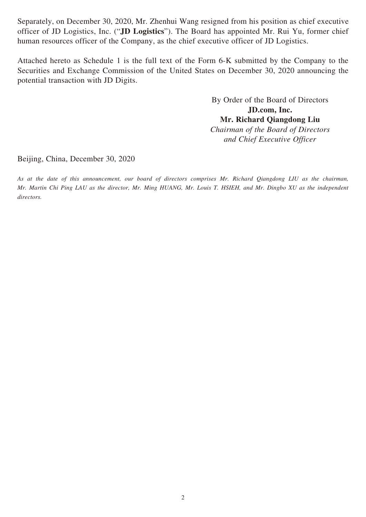Separately, on December 30, 2020, Mr. Zhenhui Wang resigned from his position as chief executive officer of JD Logistics, Inc. ("**JD Logistics**"). The Board has appointed Mr. Rui Yu, former chief human resources officer of the Company, as the chief executive officer of JD Logistics.

Attached hereto as Schedule 1 is the full text of the Form 6-K submitted by the Company to the Securities and Exchange Commission of the United States on December 30, 2020 announcing the potential transaction with JD Digits.

> By Order of the Board of Directors **JD.com, Inc. Mr. Richard Qiangdong Liu** *Chairman of the Board of Directors and Chief Executive Officer*

Beijing, China, December 30, 2020

*As at the date of this announcement, our board of directors comprises Mr. Richard Qiangdong LIU as the chairman, Mr. Martin Chi Ping LAU as the director, Mr. Ming HUANG, Mr. Louis T. HSIEH, and Mr. Dingbo XU as the independent directors.*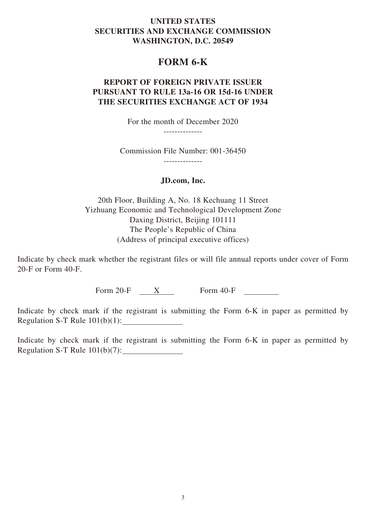### **UNITED STATES SECURITIES AND EXCHANGE COMMISSION WASHINGTON, D.C. 20549**

### **FORM 6-K**

### **REPORT OF FOREIGN PRIVATE ISSUER PURSUANT TO RULE 13a-16 OR 15d-16 UNDER THE SECURITIES EXCHANGE ACT OF 1934**

For the month of December 2020

--------------

Commission File Number: 001-36450

--------------

#### **JD.com, Inc.**

20th Floor, Building A, No. 18 Kechuang 11 Street Yizhuang Economic and Technological Development Zone Daxing District, Beijing 101111 The People's Republic of China (Address of principal executive offices)

Indicate by check mark whether the registrant files or will file annual reports under cover of Form 20-F or Form 40-F.

Form 20-F X Form 40-F

Indicate by check mark if the registrant is submitting the Form 6-K in paper as permitted by Regulation S-T Rule 101(b)(1):

Indicate by check mark if the registrant is submitting the Form 6-K in paper as permitted by Regulation S-T Rule 101(b)(7):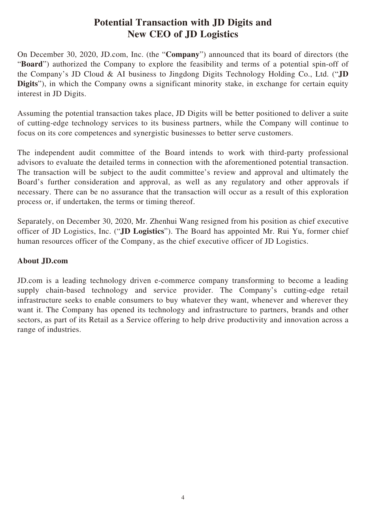### **Potential Transaction with JD Digits and New CEO of JD Logistics**

On December 30, 2020, JD.com, Inc. (the "**Company**") announced that its board of directors (the "**Board**") authorized the Company to explore the feasibility and terms of a potential spin-off of the Company's JD Cloud & AI business to Jingdong Digits Technology Holding Co., Ltd. ("**JD Digits**"), in which the Company owns a significant minority stake, in exchange for certain equity interest in JD Digits.

Assuming the potential transaction takes place, JD Digits will be better positioned to deliver a suite of cutting-edge technology services to its business partners, while the Company will continue to focus on its core competences and synergistic businesses to better serve customers.

The independent audit committee of the Board intends to work with third-party professional advisors to evaluate the detailed terms in connection with the aforementioned potential transaction. The transaction will be subject to the audit committee's review and approval and ultimately the Board's further consideration and approval, as well as any regulatory and other approvals if necessary. There can be no assurance that the transaction will occur as a result of this exploration process or, if undertaken, the terms or timing thereof.

Separately, on December 30, 2020, Mr. Zhenhui Wang resigned from his position as chief executive officer of JD Logistics, Inc. ("**JD Logistics**"). The Board has appointed Mr. Rui Yu, former chief human resources officer of the Company, as the chief executive officer of JD Logistics.

### **About JD.com**

JD.com is a leading technology driven e-commerce company transforming to become a leading supply chain-based technology and service provider. The Company's cutting-edge retail infrastructure seeks to enable consumers to buy whatever they want, whenever and wherever they want it. The Company has opened its technology and infrastructure to partners, brands and other sectors, as part of its Retail as a Service offering to help drive productivity and innovation across a range of industries.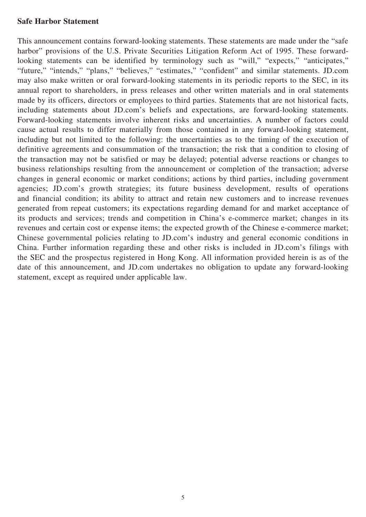### **Safe Harbor Statement**

This announcement contains forward-looking statements. These statements are made under the "safe harbor" provisions of the U.S. Private Securities Litigation Reform Act of 1995. These forwardlooking statements can be identified by terminology such as "will," "expects," "anticipates," "future," "intends," "plans," "believes," "estimates," "confident" and similar statements. JD.com may also make written or oral forward-looking statements in its periodic reports to the SEC, in its annual report to shareholders, in press releases and other written materials and in oral statements made by its officers, directors or employees to third parties. Statements that are not historical facts, including statements about JD.com's beliefs and expectations, are forward-looking statements. Forward-looking statements involve inherent risks and uncertainties. A number of factors could cause actual results to differ materially from those contained in any forward-looking statement, including but not limited to the following: the uncertainties as to the timing of the execution of definitive agreements and consummation of the transaction; the risk that a condition to closing of the transaction may not be satisfied or may be delayed; potential adverse reactions or changes to business relationships resulting from the announcement or completion of the transaction; adverse changes in general economic or market conditions; actions by third parties, including government agencies; JD.com's growth strategies; its future business development, results of operations and financial condition; its ability to attract and retain new customers and to increase revenues generated from repeat customers; its expectations regarding demand for and market acceptance of its products and services; trends and competition in China's e-commerce market; changes in its revenues and certain cost or expense items; the expected growth of the Chinese e-commerce market; Chinese governmental policies relating to JD.com's industry and general economic conditions in China. Further information regarding these and other risks is included in JD.com's filings with the SEC and the prospectus registered in Hong Kong. All information provided herein is as of the date of this announcement, and JD.com undertakes no obligation to update any forward-looking statement, except as required under applicable law.